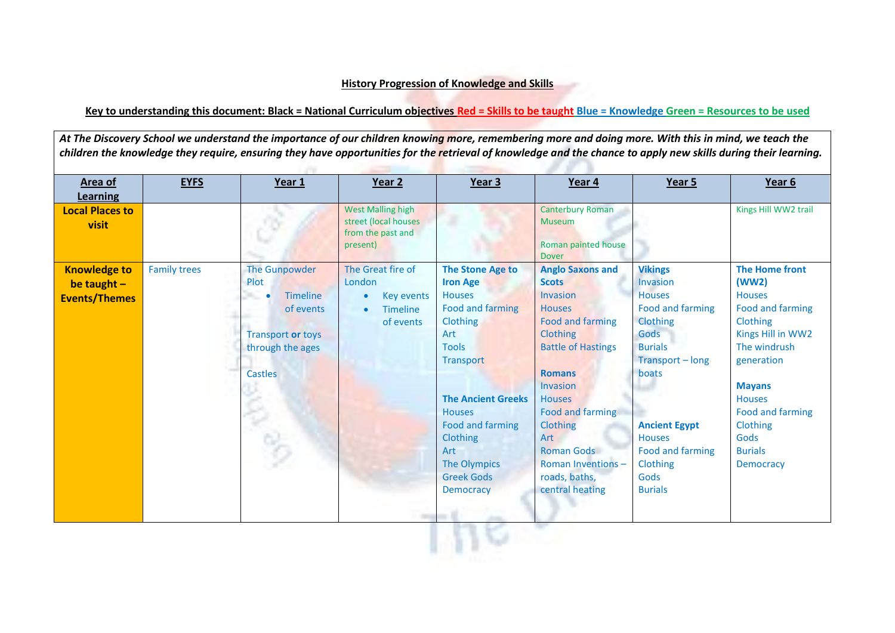## **History Progression of Knowledge and Skills**

## **Key to understanding this document: Black = National Curriculum objectives Red = Skills to be taught Blue = Knowledge Green = Resources to be used**

At The Discovery School we understand the importance of our children knowing more, remembering more and doing more. With this in mind, we teach the *children the knowledge they require, ensuring they have opportunities for the retrieval of knowledge and the chance to apply new skills during their learning.*

| Area of<br><b>Learning</b>                                   | <b>EYFS</b>         | Year 1                                                                                                                                            | Year 2                                                                                        | Year 3                                                                                                                                                                                                                                                                                                           | Year 4                                                                                                                                                                                                                                                                                                                                  | Year 5                                                                                                                                                                                                                                       | Year 6                                                                                                                                                                                                                                             |
|--------------------------------------------------------------|---------------------|---------------------------------------------------------------------------------------------------------------------------------------------------|-----------------------------------------------------------------------------------------------|------------------------------------------------------------------------------------------------------------------------------------------------------------------------------------------------------------------------------------------------------------------------------------------------------------------|-----------------------------------------------------------------------------------------------------------------------------------------------------------------------------------------------------------------------------------------------------------------------------------------------------------------------------------------|----------------------------------------------------------------------------------------------------------------------------------------------------------------------------------------------------------------------------------------------|----------------------------------------------------------------------------------------------------------------------------------------------------------------------------------------------------------------------------------------------------|
| <b>Local Places to</b><br>visit                              |                     |                                                                                                                                                   | <b>West Malling high</b><br>street (local houses<br>from the past and<br>present)             |                                                                                                                                                                                                                                                                                                                  | <b>Canterbury Roman</b><br><b>Museum</b><br>Roman painted house<br><b>Dover</b>                                                                                                                                                                                                                                                         |                                                                                                                                                                                                                                              | Kings Hill WW2 trail                                                                                                                                                                                                                               |
| <b>Knowledge to</b><br>be taught $-$<br><b>Events/Themes</b> | <b>Family trees</b> | <b>The Gunpowder</b><br>Plot<br><b>Timeline</b><br>$\bullet$<br>m.<br>of events<br><b>Transport or toys</b><br>through the ages<br><b>Castles</b> | The Great fire of<br>London<br><b>Key events</b><br><b>Timeline</b><br>$\bullet$<br>of events | <b>The Stone Age to</b><br><b>Iron Age</b><br><b>Houses</b><br><b>Food and farming</b><br>Clothing<br><b>Art</b><br><b>Tools</b><br><b>Transport</b><br><b>The Ancient Greeks</b><br><b>Houses</b><br><b>Food and farming</b><br>Clothing<br>Art<br><b>The Olympics</b><br><b>Greek Gods</b><br><b>Democracy</b> | <b>Anglo Saxons and</b><br><b>Scots</b><br><b>Invasion</b><br><b>Houses</b><br><b>Food and farming</b><br>Clothing<br><b>Battle of Hastings</b><br><b>Romans</b><br><b>Invasion</b><br><b>Houses</b><br><b>Food and farming</b><br>Clothing<br>Art<br><b>Roman Gods</b><br><b>Roman Inventions-</b><br>roads, baths,<br>central heating | <b>Vikings</b><br>Invasion<br><b>Houses</b><br>Food and farming<br>Clothing<br>Gods<br><b>Burials</b><br>Transport - long<br>boats<br><b>Ancient Egypt</b><br><b>Houses</b><br><b>Food and farming</b><br>Clothing<br>Gods<br><b>Burials</b> | <b>The Home front</b><br>(WW2)<br><b>Houses</b><br>Food and farming<br>Clothing<br>Kings Hill in WW2<br>The windrush<br>generation<br><b>Mayans</b><br><b>Houses</b><br>Food and farming<br>Clothing<br>Gods<br><b>Burials</b><br><b>Democracy</b> |
|                                                              |                     |                                                                                                                                                   |                                                                                               |                                                                                                                                                                                                                                                                                                                  |                                                                                                                                                                                                                                                                                                                                         |                                                                                                                                                                                                                                              |                                                                                                                                                                                                                                                    |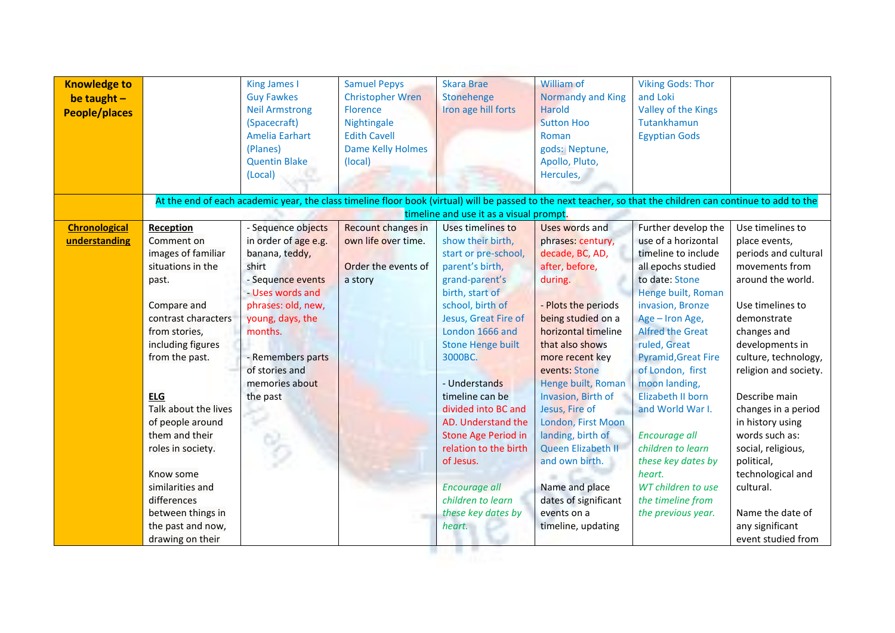| <b>Knowledge to</b><br>be taught $-$<br><b>People/places</b> |                                    | <b>King James I</b><br><b>Guy Fawkes</b><br><b>Neil Armstrong</b><br>(Spacecraft)<br><b>Amelia Earhart</b> | <b>Samuel Pepys</b><br><b>Christopher Wren</b><br>Florence<br>Nightingale<br><b>Edith Cavell</b>                                                              | <b>Skara Brae</b><br>Stonehenge<br>Iron age hill forts | William of<br>Normandy and King<br><b>Harold</b><br><b>Sutton Hoo</b><br>Roman | <b>Viking Gods: Thor</b><br>and Loki<br>Valley of the Kings<br>Tutankhamun<br><b>Egyptian Gods</b> |                                       |
|--------------------------------------------------------------|------------------------------------|------------------------------------------------------------------------------------------------------------|---------------------------------------------------------------------------------------------------------------------------------------------------------------|--------------------------------------------------------|--------------------------------------------------------------------------------|----------------------------------------------------------------------------------------------------|---------------------------------------|
|                                                              |                                    | (Planes)<br><b>Quentin Blake</b>                                                                           | <b>Dame Kelly Holmes</b><br>(local)                                                                                                                           |                                                        | gods: Neptune,<br>Apollo, Pluto,                                               |                                                                                                    |                                       |
|                                                              |                                    | (Local)                                                                                                    |                                                                                                                                                               |                                                        | Hercules,                                                                      |                                                                                                    |                                       |
|                                                              |                                    |                                                                                                            | At the end of each academic year, the class timeline floor book (virtual) will be passed to the next teacher, so that the children can continue to add to the |                                                        |                                                                                |                                                                                                    |                                       |
|                                                              |                                    |                                                                                                            |                                                                                                                                                               | timeline and use it as a visual prompt.                |                                                                                |                                                                                                    |                                       |
| <b>Chronological</b><br>understanding                        | Reception<br>Comment on            | - Sequence objects                                                                                         | <b>Recount changes in</b><br>own life over time.                                                                                                              | Uses timelines to<br>show their birth,                 | Uses words and                                                                 | Further develop the<br>use of a horizontal                                                         | Use timelines to                      |
|                                                              | images of familiar                 | in order of age e.g.<br>banana, teddy,                                                                     |                                                                                                                                                               | start or pre-school,                                   | phrases: century,<br>decade, BC, AD,                                           | timeline to include                                                                                | place events,<br>periods and cultural |
|                                                              | situations in the                  | shirt                                                                                                      | Order the events of                                                                                                                                           | parent's birth,                                        | after, before,                                                                 | all epochs studied                                                                                 | movements from                        |
|                                                              | past.                              | - Sequence events                                                                                          | a story                                                                                                                                                       | grand-parent's                                         | during.                                                                        | to date: Stone                                                                                     | around the world.                     |
|                                                              |                                    | - Uses words and                                                                                           |                                                                                                                                                               | birth, start of                                        |                                                                                | Henge built, Roman                                                                                 |                                       |
|                                                              | Compare and                        | phrases: old, new,                                                                                         |                                                                                                                                                               | school, birth of                                       | - Plots the periods                                                            | invasion, Bronze                                                                                   | Use timelines to                      |
|                                                              | contrast characters                | young, days, the                                                                                           |                                                                                                                                                               | Jesus, Great Fire of                                   | being studied on a                                                             | Age - Iron Age,                                                                                    | demonstrate                           |
|                                                              | from stories,                      | months.                                                                                                    |                                                                                                                                                               | London 1666 and                                        | horizontal timeline                                                            | <b>Alfred the Great</b>                                                                            | changes and                           |
|                                                              | including figures                  |                                                                                                            |                                                                                                                                                               | <b>Stone Henge built</b>                               | that also shows                                                                | ruled, Great                                                                                       | developments in                       |
|                                                              | from the past.                     | - Remembers parts                                                                                          |                                                                                                                                                               | 3000BC.                                                | more recent key                                                                | <b>Pyramid, Great Fire</b>                                                                         | culture, technology,                  |
|                                                              |                                    | of stories and                                                                                             |                                                                                                                                                               |                                                        | events: Stone                                                                  | of London, first                                                                                   | religion and society.                 |
|                                                              |                                    | memories about                                                                                             |                                                                                                                                                               | - Understands                                          | Henge built, Roman                                                             | moon landing,                                                                                      |                                       |
|                                                              | <b>ELG</b><br>Talk about the lives | the past                                                                                                   |                                                                                                                                                               | timeline can be<br>divided into BC and                 | Invasion, Birth of<br>Jesus, Fire of                                           | Elizabeth II born                                                                                  | Describe main<br>changes in a period  |
|                                                              | of people around                   |                                                                                                            |                                                                                                                                                               | AD. Understand the                                     | London, First Moon                                                             | and World War I.                                                                                   | in history using                      |
|                                                              | them and their                     |                                                                                                            |                                                                                                                                                               | <b>Stone Age Period in</b>                             | landing, birth of                                                              | Encourage all                                                                                      | words such as:                        |
|                                                              | roles in society.                  |                                                                                                            |                                                                                                                                                               | relation to the birth                                  | Queen Elizabeth II                                                             | children to learn                                                                                  | social, religious,                    |
|                                                              |                                    |                                                                                                            |                                                                                                                                                               | of Jesus.                                              | and own birth.                                                                 | these key dates by                                                                                 | political,                            |
|                                                              | Know some                          |                                                                                                            |                                                                                                                                                               |                                                        |                                                                                | heart.                                                                                             | technological and                     |
|                                                              | similarities and                   |                                                                                                            |                                                                                                                                                               | Encourage all                                          | Name and place                                                                 | WT children to use                                                                                 | cultural.                             |
|                                                              | differences                        |                                                                                                            |                                                                                                                                                               | children to learn                                      | dates of significant                                                           | the timeline from                                                                                  |                                       |
|                                                              | between things in                  |                                                                                                            |                                                                                                                                                               | these key dates by                                     | events on a                                                                    | the previous year.                                                                                 | Name the date of                      |
|                                                              | the past and now,                  |                                                                                                            |                                                                                                                                                               | heart.                                                 | timeline, updating                                                             |                                                                                                    | any significant                       |
|                                                              | drawing on their                   |                                                                                                            |                                                                                                                                                               |                                                        |                                                                                |                                                                                                    | event studied from                    |
|                                                              |                                    |                                                                                                            |                                                                                                                                                               |                                                        |                                                                                |                                                                                                    |                                       |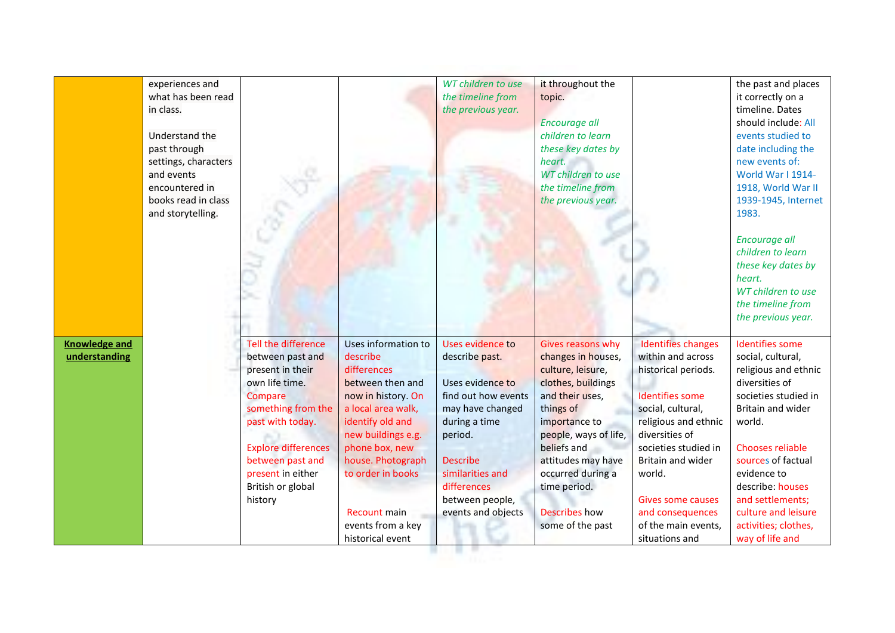|                      | experiences and      |                            |                     | WT children to use  | it throughout the     |                           | the past and places    |
|----------------------|----------------------|----------------------------|---------------------|---------------------|-----------------------|---------------------------|------------------------|
|                      | what has been read   |                            |                     | the timeline from   | topic.                |                           | it correctly on a      |
|                      | in class.            |                            |                     | the previous year.  |                       |                           | timeline. Dates        |
|                      |                      |                            |                     |                     | <b>Encourage all</b>  |                           | should include: All    |
|                      | Understand the       |                            |                     |                     | children to learn     |                           | events studied to      |
|                      | past through         |                            |                     |                     | these key dates by    |                           | date including the     |
|                      | settings, characters |                            |                     |                     | heart.                |                           | new events of:         |
|                      | and events           |                            |                     |                     | WT children to use    |                           | World War I 1914-      |
|                      |                      |                            |                     |                     |                       |                           |                        |
|                      | encountered in       |                            |                     |                     | the timeline from     |                           | 1918, World War II     |
|                      | books read in class  |                            |                     |                     | the previous year.    |                           | 1939-1945, Internet    |
|                      | and storytelling.    |                            |                     |                     |                       |                           | 1983.                  |
|                      |                      |                            |                     |                     |                       |                           |                        |
|                      |                      |                            |                     |                     |                       |                           | <b>Encourage all</b>   |
|                      |                      |                            |                     |                     |                       |                           | children to learn      |
|                      |                      |                            |                     |                     |                       |                           | these key dates by     |
|                      |                      |                            |                     |                     |                       |                           | heart.                 |
|                      |                      |                            |                     |                     |                       |                           | WT children to use     |
|                      |                      |                            |                     |                     |                       |                           | the timeline from      |
|                      |                      |                            |                     |                     |                       |                           | the previous year.     |
|                      |                      |                            |                     |                     |                       |                           |                        |
| <b>Knowledge and</b> |                      | Tell the difference        | Uses information to | Uses evidence to    | Gives reasons why     | <b>Identifies changes</b> | <b>Identifies some</b> |
| understanding        |                      | between past and           | describe            | describe past.      | changes in houses,    | within and across         | social, cultural,      |
|                      |                      | present in their           | differences         |                     | culture, leisure,     | historical periods.       | religious and ethnic   |
|                      |                      | own life time.             | between then and    | Uses evidence to    | clothes, buildings    |                           | diversities of         |
|                      |                      | Compare                    | now in history. On  | find out how events | and their uses,       | <b>Identifies some</b>    | societies studied in   |
|                      |                      | something from the         | a local area walk,  | may have changed    | things of             | social, cultural,         | Britain and wider      |
|                      |                      | past with today.           | identify old and    | during a time       | importance to         | religious and ethnic      | world.                 |
|                      |                      |                            | new buildings e.g.  | period.             | people, ways of life, | diversities of            |                        |
|                      |                      | <b>Explore differences</b> | phone box, new      |                     | beliefs and           | societies studied in      | Chooses reliable       |
|                      |                      | between past and           | house. Photograph   | <b>Describe</b>     | attitudes may have    | Britain and wider         | sources of factual     |
|                      |                      | present in either          | to order in books   | similarities and    | occurred during a     | world.                    | evidence to            |
|                      |                      | British or global          |                     | differences         | time period.          |                           | describe: houses       |
|                      |                      | history                    |                     | between people,     |                       | <b>Gives some causes</b>  | and settlements;       |
|                      |                      |                            | Recount main        | events and objects  | <b>Describes</b> how  | and consequences          | culture and leisure    |
|                      |                      |                            | events from a key   |                     | some of the past      | of the main events,       | activities; clothes,   |
|                      |                      |                            |                     |                     |                       | situations and            |                        |
|                      |                      |                            | historical event    |                     |                       |                           | way of life and        |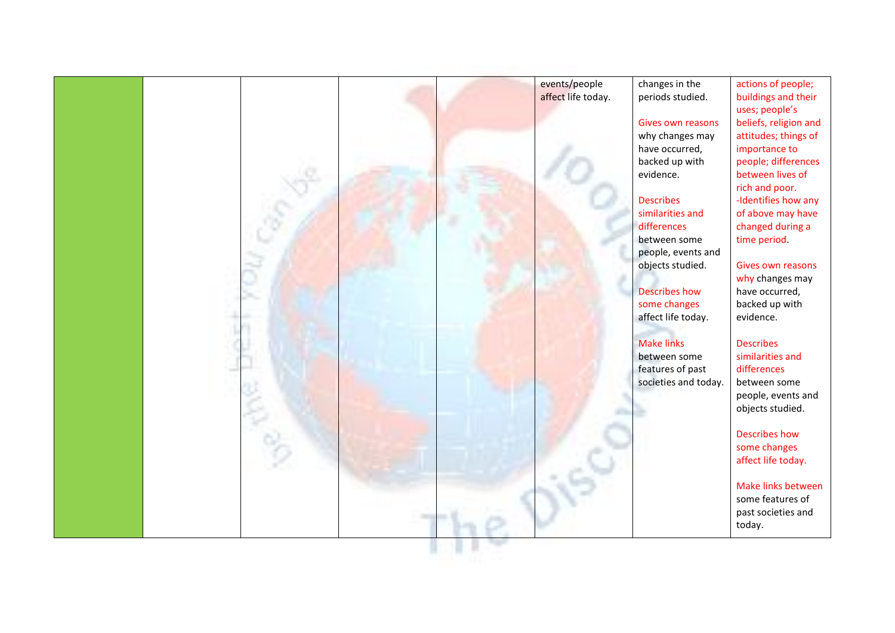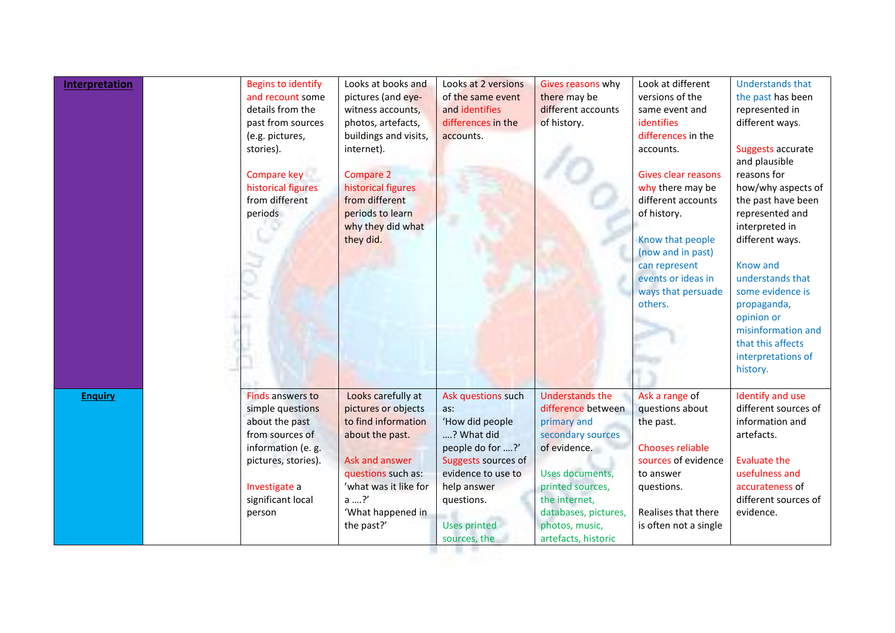| <b>Interpretation</b> | <b>Begins to identify</b><br>and recount some<br>details from the<br>past from sources<br>(e.g. pictures,<br>stories).<br>Compare key<br>historical figures<br>from different<br>periods | Looks at books and<br>pictures (and eye-<br>witness accounts,<br>photos, artefacts,<br>buildings and visits,<br>internet).<br><b>Compare 2</b><br>historical figures<br>from different<br>periods to learn<br>why they did what<br>they did. | Looks at 2 versions<br>of the same event<br>and identifies<br>differences in the<br>accounts.                                                                                            | Gives reasons why<br>there may be<br>different accounts<br>of history.                                                                                                                                                    | Look at different<br>versions of the<br>same event and<br>identifies<br>differences in the<br>accounts.<br><b>Gives clear reasons</b><br>why there may be<br>different accounts<br>of history.<br>Know that people<br>(now and in past)<br>can represent<br>events or ideas in<br>ways that persuade<br>others. | <b>Understands that</b><br>the past has been<br>represented in<br>different ways.<br>Suggests accurate<br>and plausible<br>reasons for<br>how/why aspects of<br>the past have been<br>represented and<br>interpreted in<br>different ways.<br>Know and<br>understands that<br>some evidence is<br>propaganda,<br>opinion or<br>misinformation and<br>that this affects<br>interpretations of<br>history. |
|-----------------------|------------------------------------------------------------------------------------------------------------------------------------------------------------------------------------------|----------------------------------------------------------------------------------------------------------------------------------------------------------------------------------------------------------------------------------------------|------------------------------------------------------------------------------------------------------------------------------------------------------------------------------------------|---------------------------------------------------------------------------------------------------------------------------------------------------------------------------------------------------------------------------|-----------------------------------------------------------------------------------------------------------------------------------------------------------------------------------------------------------------------------------------------------------------------------------------------------------------|----------------------------------------------------------------------------------------------------------------------------------------------------------------------------------------------------------------------------------------------------------------------------------------------------------------------------------------------------------------------------------------------------------|
| <b>Enquiry</b>        | <b>Finds answers to</b><br>simple questions<br>about the past<br>from sources of<br>information (e. g.<br>pictures, stories).<br>Investigate a<br>significant local<br>person            | Looks carefully at<br>pictures or objects<br>to find information<br>about the past.<br>Ask and answer<br>questions such as:<br>'what was it like for<br>a  ?'<br>'What happened in<br>the past?'                                             | Ask questions such<br>as:<br>'How did people<br>? What did<br>people do for ?'<br>Suggests sources of<br>evidence to use to<br>help answer<br>questions.<br>Uses printed<br>sources, the | <b>Understands the</b><br>difference between<br>primary and<br>secondary sources<br>of evidence.<br>Uses documents,<br>printed sources,<br>the internet,<br>databases, pictures,<br>photos, music,<br>artefacts, historic | Ask a range of<br>questions about<br>the past.<br><b>Chooses reliable</b><br>sources of evidence<br>to answer<br>questions.<br>Realises that there<br>is often not a single                                                                                                                                     | Identify and use<br>different sources of<br>information and<br>artefacts.<br><b>Evaluate the</b><br>usefulness and<br>accurateness of<br>different sources of<br>evidence.                                                                                                                                                                                                                               |

sources, the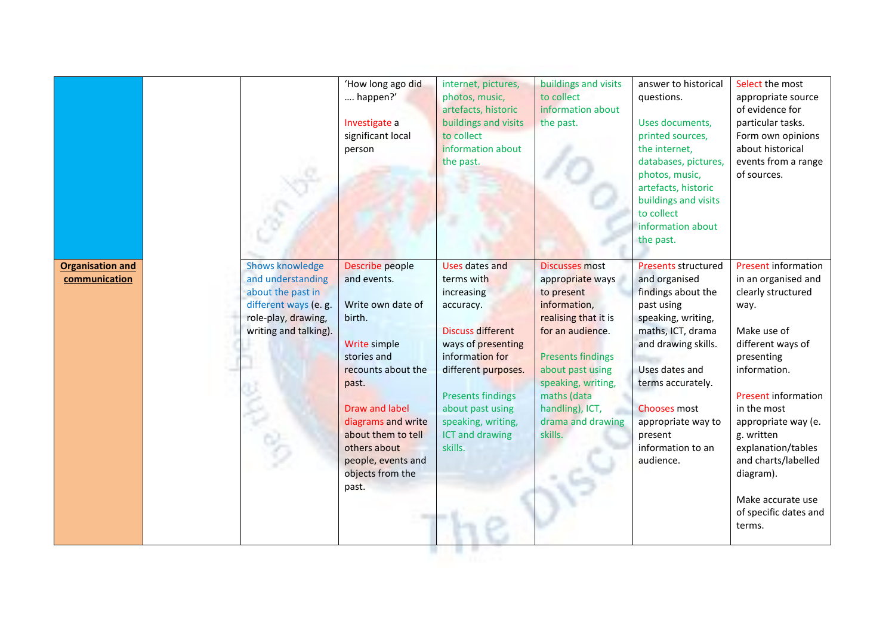|                                          |                                                                                                                                           | 'How long ago did<br>happen?'<br>Investigate a<br>significant local<br>person                                                                                                                                                                                       | internet, pictures,<br>photos, music,<br>artefacts, historic<br>buildings and visits<br>to collect<br>information about<br>the past.                                                                                                                           | buildings and visits<br>to collect<br>information about<br>the past.                                                                                                                                                                                        | answer to historical<br>questions.<br>Uses documents,<br>printed sources,<br>the internet,<br>databases, pictures,<br>photos, music,<br>artefacts, historic<br>buildings and visits<br>to collect<br>information about<br>the past.                                                | Select the most<br>appropriate source<br>of evidence for<br>particular tasks.<br>Form own opinions<br>about historical<br>events from a range<br>of sources.                                                                                                                                                                                   |
|------------------------------------------|-------------------------------------------------------------------------------------------------------------------------------------------|---------------------------------------------------------------------------------------------------------------------------------------------------------------------------------------------------------------------------------------------------------------------|----------------------------------------------------------------------------------------------------------------------------------------------------------------------------------------------------------------------------------------------------------------|-------------------------------------------------------------------------------------------------------------------------------------------------------------------------------------------------------------------------------------------------------------|------------------------------------------------------------------------------------------------------------------------------------------------------------------------------------------------------------------------------------------------------------------------------------|------------------------------------------------------------------------------------------------------------------------------------------------------------------------------------------------------------------------------------------------------------------------------------------------------------------------------------------------|
| <b>Organisation and</b><br>communication | <b>Shows knowledge</b><br>and understanding<br>about the past in<br>different ways (e. g.<br>role-play, drawing,<br>writing and talking). | Describe people<br>and events.<br>Write own date of<br>birth.<br>Write simple<br>stories and<br>recounts about the<br>past.<br><b>Draw and label</b><br>diagrams and write<br>about them to tell<br>others about<br>people, events and<br>objects from the<br>past. | <b>Uses dates and</b><br>terms with<br>increasing<br>accuracy.<br><b>Discuss different</b><br>ways of presenting<br>information for<br>different purposes.<br><b>Presents findings</b><br>about past using<br>speaking, writing,<br>ICT and drawing<br>skills. | <b>Discusses most</b><br>appropriate ways<br>to present<br>information,<br>realising that it is<br>for an audience.<br><b>Presents findings</b><br>about past using<br>speaking, writing,<br>maths (data<br>handling), ICT,<br>drama and drawing<br>skills. | <b>Presents structured</b><br>and organised<br>findings about the<br>past using<br>speaking, writing,<br>maths, ICT, drama<br>and drawing skills.<br>Uses dates and<br>terms accurately.<br><b>Chooses most</b><br>appropriate way to<br>present<br>information to an<br>audience. | Present information<br>in an organised and<br>clearly structured<br>way.<br>Make use of<br>different ways of<br>presenting<br>information.<br><b>Present information</b><br>in the most<br>appropriate way (e.<br>g. written<br>explanation/tables<br>and charts/labelled<br>diagram).<br>Make accurate use<br>of specific dates and<br>terms. |